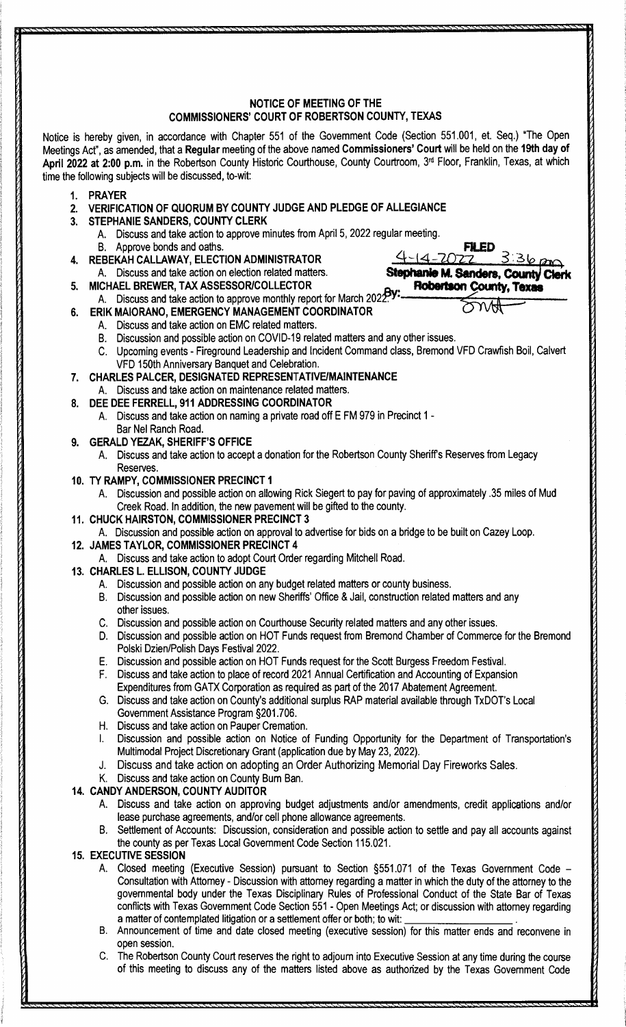## **NOTICE OF MEETING OF THE COMMISSIONERS' COURT OF ROBERTSON COUNTY, TEXAS**

Notice is hereby given, in accordance with Chapter 551 of the Government Code (Section 551.001, et. Seq.) "The Open Meetings Act", as amended, that a **Regular** meeting of the above named **Commissioners' Court** will be held on the **19th day of**  April 2022 at 2:00 p.m. in the Robertson County Historic Courthouse, County Courtroom, 3<sup>rd</sup> Floor, Franklin, Texas, at which time the following subjects will be discussed, to-wit:

- **1. PRAYER**
- **2. VERIFICATION OF QUORUM BY COUNTY JUDGE AND PLEDGE OF ALLEGIANCE**
- **3. STEPHANIE SANDERS, COUNTY CLERK** 
	- A. Discuss and take action to approve minutes from April 5, 2022 regular meeting.
- 8. Approve bonds and oaths. **FR.**
- **4. REBEKAH CALLAWAY, ELECTION ADMINISTRATOR**
- A. Discuss and take action on election related matters. **Stephanie**  FRAMICALLAWAY, ELECTION ADMINISTRATOR<br>A. Discuss and take action on election related matters.<br>5. MICHAEL BREWER, TAX ASSESSOR/COLLECTOR<br>A. Discuss and take action to approve monthly report for March 2022.
	-
- **6. ERIK MAIORANO, EMERGENCY MANAGEMENT COORDINATOR**   $4-14-2022$   $336 \rho m$ <br>Stephanie M. Sanders, County Clerk<br>for March 2022Py: Robertson County, Texas<br>RDINATOR
	- A. Discuss and take action on EMC related matters.
	- B. Discussion and possible action on COVID-19 related matters and any other issues.
	- C. Upcoming events Fireground Leadership and Incident Command class, Bremond VFD Crawfish Boil, Calvert VFD 150th Anniversary Banquet and Celebration.

**4** ~ 14 **-7£)7,,2** 

**Robertson County, Texas** 

**FILED**<br>
2022 3:36 pm<br> **M. Sanders, County Clerk** 

- **7. CHARLES PALCER, DESIGNATED REPRESENTATIVE/MAINTENANCE**
- A. Discuss and take action on maintenance related matters. **8. DEE DEE FERRELL, 911 ADDRESSING COORDINATOR** 
	- A. Discuss and take action on naming a private road off E FM 979 in Precinct 1 Bar Nel Ranch Road.
- **9. GERALD YEZAK, SHERIFF'S OFFICE** 
	- A. Discuss and take action to accept a donation for the Robertson County Sheriffs Reserves from Legacy Reserves.
- **10. TY RAMPY, COMMISSIONER PRECINCT 1** 
	- A. Discussion and possible action on allowing Rick Siegert to pay for paving of approximately .35 miles of Mud Creek Road. In addition, the new pavement will be gifted to the county.
- **11. CHUCK HAIRSTON, COMMISSIONER PRECINCT 3** 
	- A. Discussion and possible action on approval to advertise for bids on a bridge to be built on Cazey Loop.
- **12. JAMES TAYLOR, COMMISSIONER PRECINCT 4** 
	- A. Discuss and take action to adopt Court Order regarding Mitchell Road.
- **13. CHARLES L. ELLISON, COUNTY JUDGE** 
	- A. Discussion and possible action on any budget related matters or county business.
	- 8. Discussion and possible action on new Sheriffs' Office & Jail, construction related matters and any other issues.
	- C. Discussion and possible action on Courthouse Security related matters and any other issues.
	- D. Discussion and possible action on HOT Funds request from Bremond Chamber of Commerce for the Bremond Polski Dzien/Polish Days Festival 2022.
	- E. Discussion and possible action on HOT Funds request for the Scott Burgess Freedom Festival.
	- F. Discuss and take action to place of record 2021 Annual Certification and Accounting of Expansion Expenditures from GATX Corporation as required as part of the 2017 Abatement Agreement.
	- G. Discuss and take action on County's additional surplus RAP material available through TxDOT's Local Government Assistance Program §201.706.
	- H. Discuss and take action on Pauper Cremation.
	- I. Discussion and possible action on Notice of Funding Opportunity for the Department of Transportation's Multimodal Project Discretionary Grant (application due by May 23, 2022).
	- Discuss and take action on adopting an Order Authorizing Memorial Day Fireworks Sales.
	- K. Discuss and take action on County Bum Ban.

## **14. CANDY ANDERSON, COUNTY AUDITOR**

- A. Discuss and take action on approving budget adjustments and/or amendments, credit applications and/or lease purchase agreements, and/or cell phone allowance agreements.
- B. Settlement of Accounts: Discussion, consideration and possible action to settle and pay all accounts against the county as per Texas Local Government Code Section 115.021.

## **15. EXECUTIVE SESSION**

- A. Closed meeting (Executive Session) pursuant to Section §551.071 of the Texas Government Code -Consultation with Attorney - Discussion with attorney regarding a matter in which the duty of the attorney to the governmental body under the Texas Disciplinary Rules of Professional Conduct of the State Bar of Texas conflicts with Texas Government Code Section 551 - Open Meetings Act; or discussion with attorney regarding<br>a matter of contemplated litigation or a settlement offer or both; to wit: \_\_\_\_\_\_\_\_\_\_\_\_\_\_\_\_\_\_\_\_\_\_\_\_\_\_\_\_.
- B. Announcement of time and date closed meeting (executive session) for this matter ends and reconvene in open session.
- C. The Robertson County Court reserves the right to adjourn into Executive Session at any time during the course of this meeting to discuss any of the matters listed above as authorized by the Texas Government Code